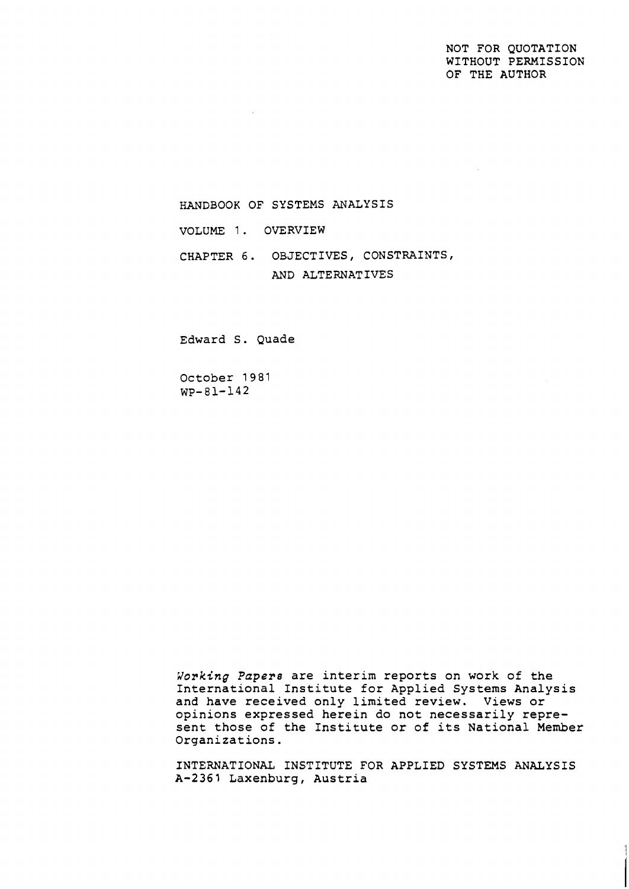## NOT FOR QUOTATION WITHOUT PERMISSION OF THE AUTHOR

HANDBOOK OF SYSTEMS ANALYSIS

VOLUME 1. OVERVIEW

CHAPTER 6. OBJECTIVES, CONSTRAINTS, AND ALTERNATIVES

Edward S. Quade

October 1981 WP-81-142

*Vorking* Papers are interim reports on work of the International Institute for Applied Systems Analysis and have received only limited review. Views or opinions expressed herein do not necessarily represent those of the Institute or of its National Member Organizations.

INTERNATIONAL INSTITUTE FOR APPLIED SYSTEMS ANALYSIS A-2361 Laxenburg, Austria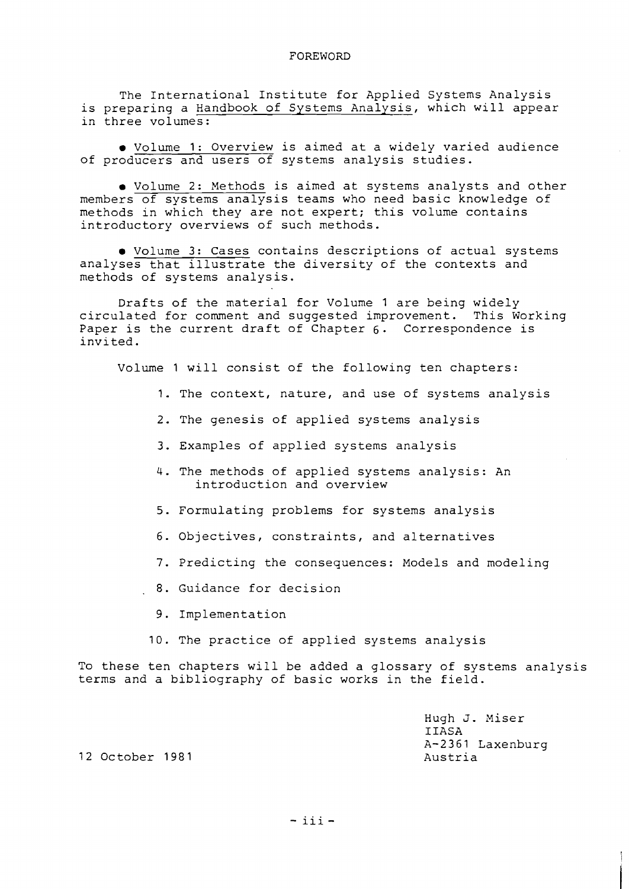The International Institute for Applied Systems Analysis is preparing a Handbook of Systems Analysis, which will appear in three volumes:

Volume 1: Overview is aimed at a widely varied audience of producers and users of systems analysis studies.

Volume 2: Methods is aimed at systems analysts and other members of systems analysis teams who need basic knowledge of methods in which they are not expert; this volume contains introductory overviews of such methods.

Volume 3: Cases contains descriptions of actual systems analyses that illustrate the diversity of the contexts and methods of systems analysis.

Drafts of the material for Volume 1 are being widely circulated for comment and suggested improvement. This Working Paper is the current draft of Chapter 6. Correspondence is invited .

Volume 1 will consist of the following ten chapters:

- 1. The context, nature, and use of systems analysis
- 2. The genesis of applied systems analysis
- 3. Examples of applied systems analysis
- 4. The methods of applied systems analysis: An introduction and overview
- 5. Formulating problems for systems analysis
- 6. Objectives, constraints, and alternatives
- 7. Predicting the consequences: Models and modeling
- . **8.** Guidance for decision
	- 9. Implementation
	- 10. The practice of applied systems analysis

To these ten chapters will be added a glossary of systems analysis terms and a bibliography of basic works in the field.

> Hugh J. Miser IIASA A-2361 Laxenburg Austria

12 October 1981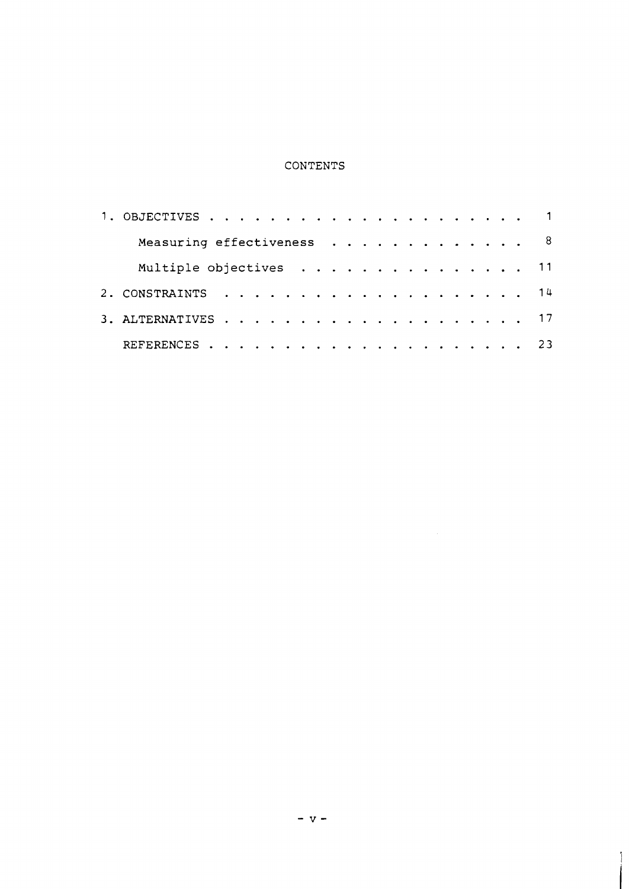# CONTENTS

| Measuring effectiveness 8 |  |  |  |  |  |  |  |
|---------------------------|--|--|--|--|--|--|--|
| Multiple objectives 11    |  |  |  |  |  |  |  |
|                           |  |  |  |  |  |  |  |
|                           |  |  |  |  |  |  |  |
|                           |  |  |  |  |  |  |  |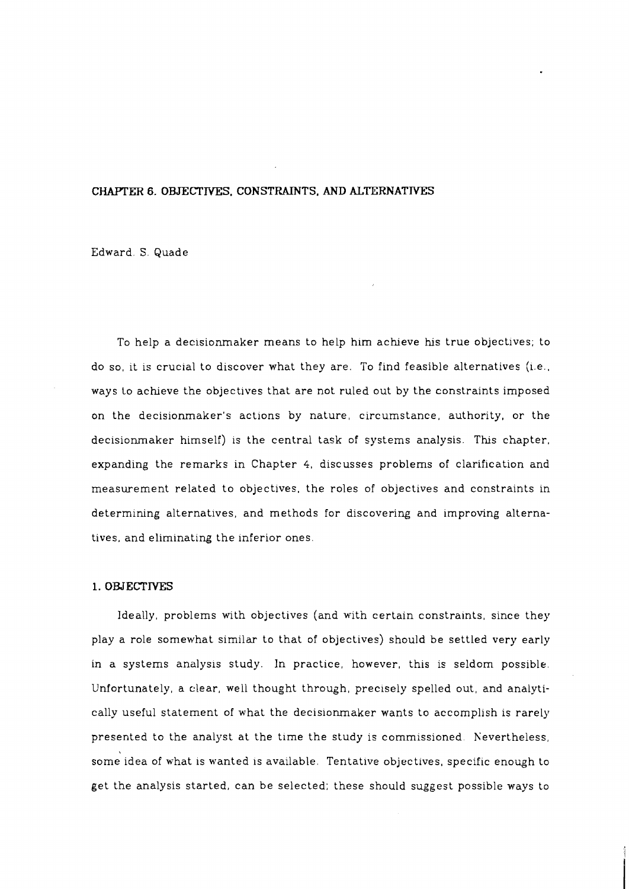## **CHAPTER 6. OBJECTTVES. CONSTRAINTS. AND ALTERNATTVES**

Edward. S. Quade

To help a decisionmaker means to help him achieve his true objectives; to do so, it is crucial to discover what they are. To find feasible alternatives (i.e., ways Lo acheve the objectives that are not ruled out by the constraints imposed on the decisionmaker's actions by nature, circumstance, authority, or the decisionmaker himself) is the central task of systems analysis. This chapter, expanding the remarks in Chapter 4, discusses problems of clarification and measurement related to objectives, the roles of objectives and constraints in determining alternatives, and methods for discovering and improving alternatives, and eliminating the inferior ones.

### **1. OBJECTIVES**

Ideally, problems with objectives (and witn certain constraints, since they play a role somewhat similar to that of objectives) should be settled very early in a systems analysis study. In practice, however, this is seldom possible. Unfortunately, a clear, well thought through, precisely spelled out, and analytically useful statement of what the decisionmaker wants to accomplish is rarely presented to the analyst at the time the study is commissioned. Nevertheless, some idea of what is wanted is available. Tentative objectives, specific enough to get the analysis started, can be selected; these should suggest possible ways to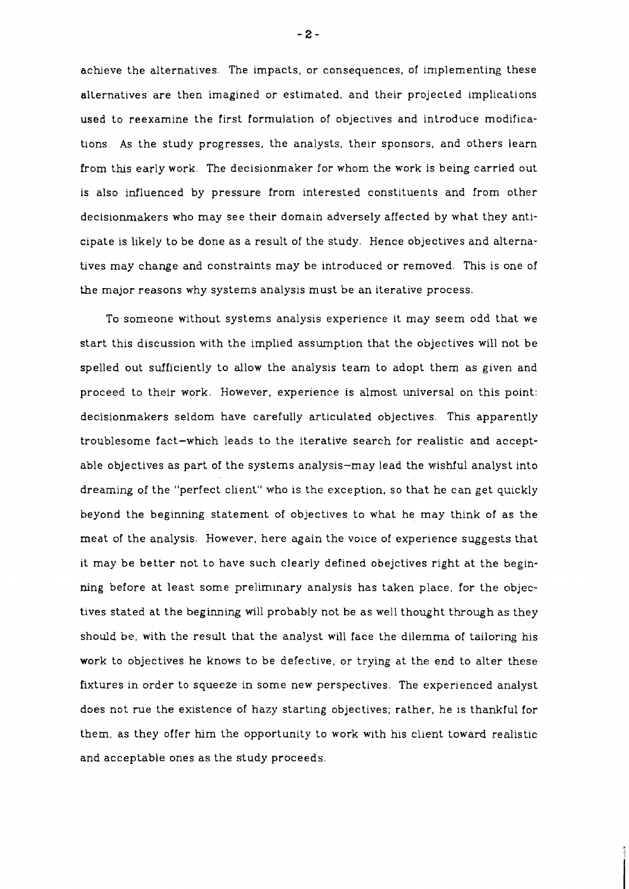achieve the alternatives. The impacts, or consequences, of implementing these alternatives are then imagined or estimated, and their projected implications used to reexamine the first formulation of objectives and introduce modifications. As the study progresses, the analysts, their sponsors, and others learn from this early work. The decisionmaker for whom the work is being carried out is also influenced by pressure from interested constituents and from other decisionmakers who may see their domain adversely affected by what they anticipate is likely to be done as a result of the study. Hence objectives and alternatives may change and constraints may be introduced or removed. This is one of the major reasons why systems analysis must be an iterative process.

To someone without systems analysis experience it may seem odd that we start this discussion with the implied assumption that the objectives will not be spelled out sufficiently to allow the analysis team to adopt them as given and proceed to their work. However, experience is almost universal on this point: decisionmakers seldom have carefully articulated objectives. This apparently troublesome fact-whch leads to the iterative search for realistic and acceptable objectives as part of the systems analysis-may lead the wishful analyst into dreaming of the "perfect client" who is the exception, so that he can get quickly beyond the beginning statement of objectives to what he may think of as the meat of the analysis. However, here again the voice of experience suggests that it may be better not to have such clearly defined obejctives right at the beginning before at least some preliminary analysis has taken place, for the objectives stated at the beginning will probably not be as well thought through as they should be, with the result that the analyst will face the dilemma of tailoring his work to objectives he knows to be defective, or trying at the end to alter these fixtures in order to squeeze in some new perspectives. The experienced analyst does not rue the existence of hazy starting objectives; rather, he is thankful for them, as they offer him the opportunity to work with his client toward realistic and acceptable ones as the study proceeds.

 $-2-$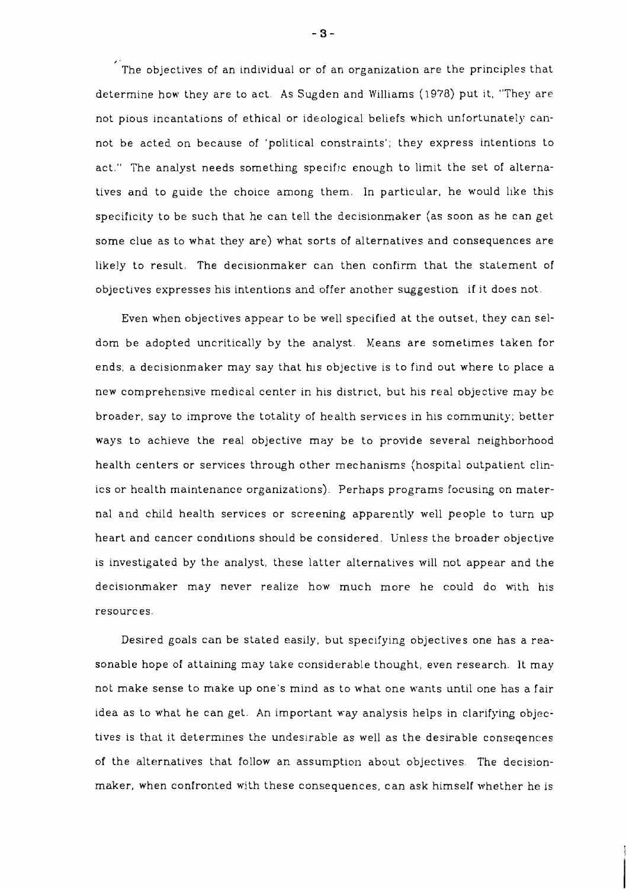**4'**  The objectives of an individual or of an organization are the principles that determine how they are to act. As Sugden and Williams (1978) put it, "They are not pious incantations of ethical or ideological beliefs which unfortunately cannot be acted on because of 'political constraints'; they express intentions to act." The analyst needs something specific enough to limit the set of alternatives and to guide the choice among them. In particular, he would like this specificity to be such that he can tell the decisionmaker (as soon as he can get some clue as to what they are) what sorts of alternatives and consequences are likely to result. The decisionmaker can then confirm that the statement of objectives expresses his intentions and offer another suggestion if it does not.

Even when objectives appear to be well specified at the outset, they can seldom be adopted uncritically by the analyst. Means are sometimes taken for ends; a decisionmaker may say that his objective is to find out where to place a new comprehensive medical center in his district, but his real objective may be broader, say to improve the totality of health services in his community; better ways to achieve the real objective may be to provide several neighborhood health centers or services through other mechanisms (hospital outpatient clinics or health maintenance organizations). Perhaps programs focusing on maternal and child health services or screening apparently well people to turn up heart and cencer conditions should be considered. Unless the broader objective is investigated by the analyst, these latter alternatives will not appear and the decisionmaker may never realize how much more he could do with his resources.

Desired goals can be stated easily, but specifying objectives one has a reasonable hope of attaining may take considerable thought, even research. It may not make sense to make up one's mind as to what one wants until one has a fair idea as to what he can get. An important way analysis helps in clarifying objectives is that it determines the undesirable as well as the desirable conseqences of the alternatives that follow an assumption about objectives. The decisionmaker, when confronted with these consequences, can ask himself whether he is

 $-3-$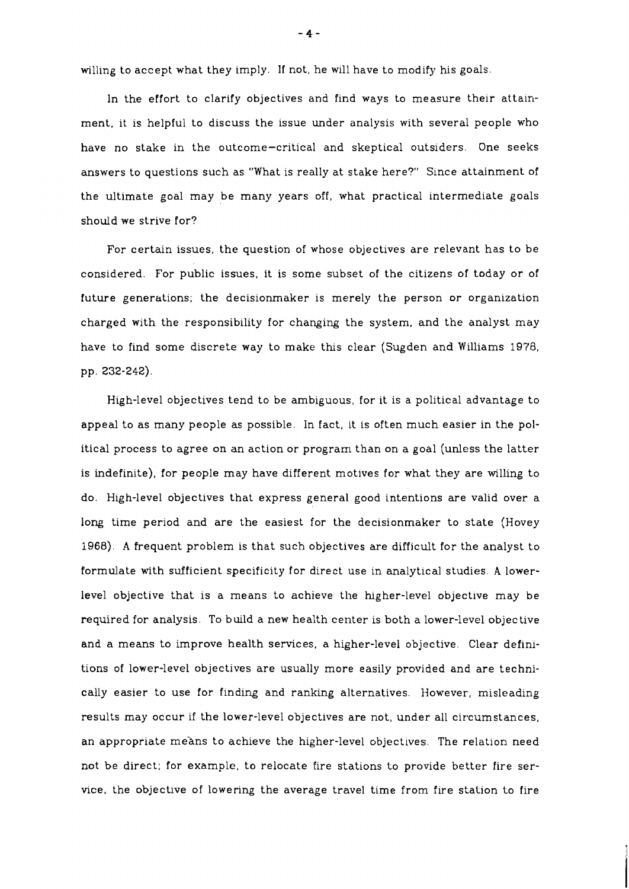willing to accept what they imply. If not, he will have to modify his goals.

In the effort to clarify objectives and find ways to measure their attainment, it is helpful to discuss the issue under analysis with several people who have no stake in the outcome-critical and skeptical outsiders. One seeks answers to questions such as "What is really at stake here?" Since attainment of the ultimate goal may be many years off, what practical intermediate goals should we strive for?

For certain issues, the question of whose objectives are relevant has to be considered. For public issues, it is some subset of the citizens of today or of future generations; the decisionmaker is merely the person or organization charged with the responsibility for changing the system, and the analyst may have to find some discrete way to make ths clear (Sugden and Williams 1978, pp. 232-242).

High-level objectives tend to be ambiguous, for it is a political advantage to appeal to as many people as possible. In fact, it is often much easier in the political process to agree on an action or program than on a goal (unless the latter is indefinite), for people may have different motives for what they are willing to do. High-level objectives that express general good intentions are valid over a long time period and are the easiest for the decisionmaker to state (Hovey 1968). A frequent problem is that such objectives are difficult for the analyst to formulate with sufficient specificity for direct use in analytical studies. **A** lowerlevel objective that is a means to achieve the hlgher-level objective may be required for analysis. To build a new health center is both a lower-level objective and a means to improve health services, a higher-level objective. Clear definitions of lower-level objectives are usually more easily provided and are technically easier to use for finding and ranking alternatives. However, misleading results may occur if the lower-level objectives are not, under all circumstances, an appropriate means to achieve the higher-level objectives. The relation need not be direct; for example, to relocate fire stations to provide better fire service, the objective of lowering the average travel time from fire station to fire

 $-4-$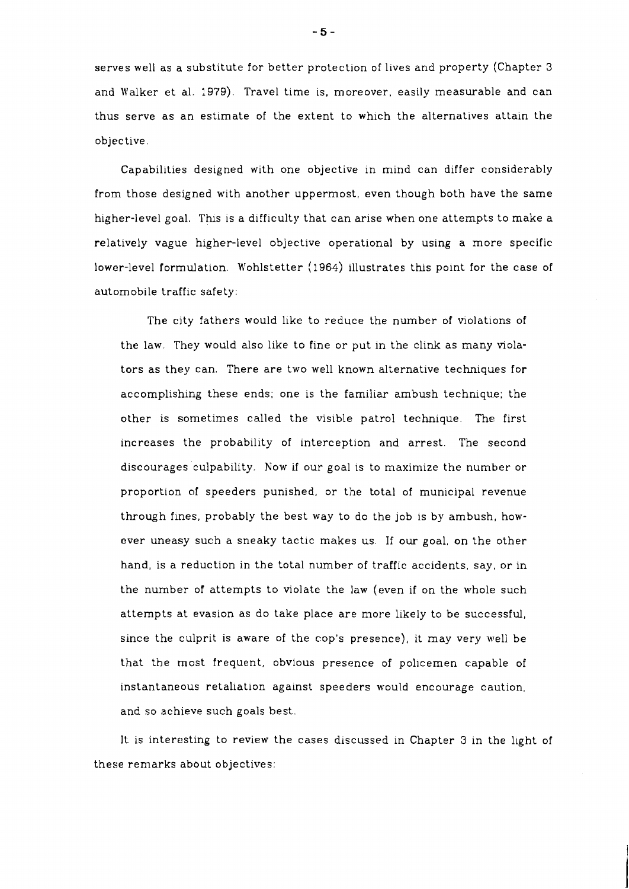serves well as a substitute for better protection of lives and property (Chapter 3 and Walker et al. :979). Travel time is, moreover, easily measurable and can thus serve as an estimate of the extent to which the alternatives attain the objective.

Capabilities designed with one objective in mind can differ considerably from those designed with another uppermost, even though both have the same higher-level goal. This is a difficulty that can arise when one attempts to make a relatively vague higher-level objective operational by using a more specific lower-level formulation. Wohlstetter (1964) illustrates ths point for the case of automobile traffic safety:

The city fathers would like to reduce the number of violations of the law. They would also like to fine or put in the clink as many violators as they can. There are two well known alternative techniques for accomplishing these ends; one is the familiar ambush technique; the other is sometimes called the visible patrol technique. The first increases the probability of interception and arrest. The second discourages culpability. Now if our goal is to maximize the number or proportion of speeders punished, or the total of municipal revenue through fines, probably the best way to do the job is by ambush, however uneasy such a sneaky tactic makes us. If our goal, on the other hand, is a reduction in the total number of traffic accidents, say, or in the number of attempts to violate the law (even if on the whole such attempts at evasion as do take place are more likely to be successful, since the culprit is aware of the cop's presence), it may very well be that the most frequent, obvious presence of policemen capable of instantaneous retaliation against speeders would encourage caution, and so achieve such goals best.

It is interesting to review the cases discussed in Chapter 3 in the light of these remarks about objectives:

 $-5-$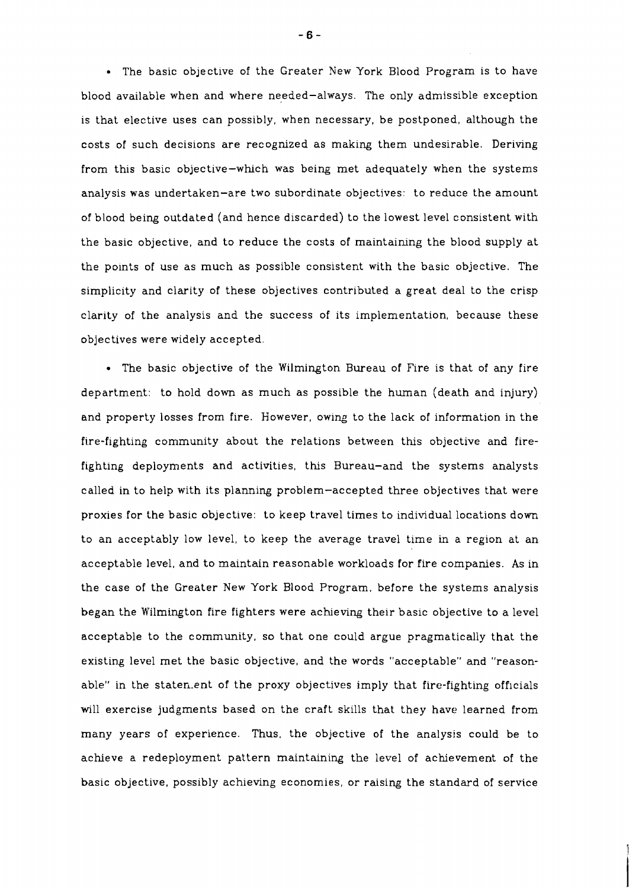The basic objective of the Greater New York Blood Program is to have blood available when and where needed-always. The only admissible exception is that elective uses can possibly, when necessary, be postponed, although the costs of such decisions are recognized as making them undesirable. Deriving from this basic objective-which was being met adequately when the systems analysis was undertaken-are two subordinate objectives: to reduce the amount of blood being outdated (and hence discarded) to the lowest level consistent with the basic objective, and to reduce the costs of maintaining the blood supply at the points of use as much as possible consistent with the basic objective. The simplicity and clarity of these objectives contributed a great deal to the crisp clarity of the analysis and the success of its implementation, because these objectives were widely accepted.

The basic objective of the Wilmington Bureau of Fire is that of any fire department: to hold down as much as possible the human (death and injury) and property losses from fire. However, owing to the lack of information in the fire-fighting community about the relations between this objective and firefighting deployments and activities, this Bureau-and the systems analysts called in to help with its planning problem-accepted three objectives that were proxies for the basic objective: to keep travel times to individual locations down to an acceptably low level, to keep the average travel time in a region at an acceptable level, and to maintain reasonable workloads for fire companies. As in the case of the Greater New York Blood Program, before the systems analysis began the Wilmington fire fighters were acheving their basic objective to a level acceptable to the community, so that one could argue pragmatically that the existing level met the basic objective, and the words "acceptable" and "reasonable" in the staten.ent of the proxy objectives imply that fire-fighting officials will exercise judgments based on the craft skills that they have learned from many years of experience. Thus, the objective of the analysis could be to achieve a redeployment pattern maintaining the level of achievement of the basic objective, possibly achieving economies, or raising the standard of service

 $-6-$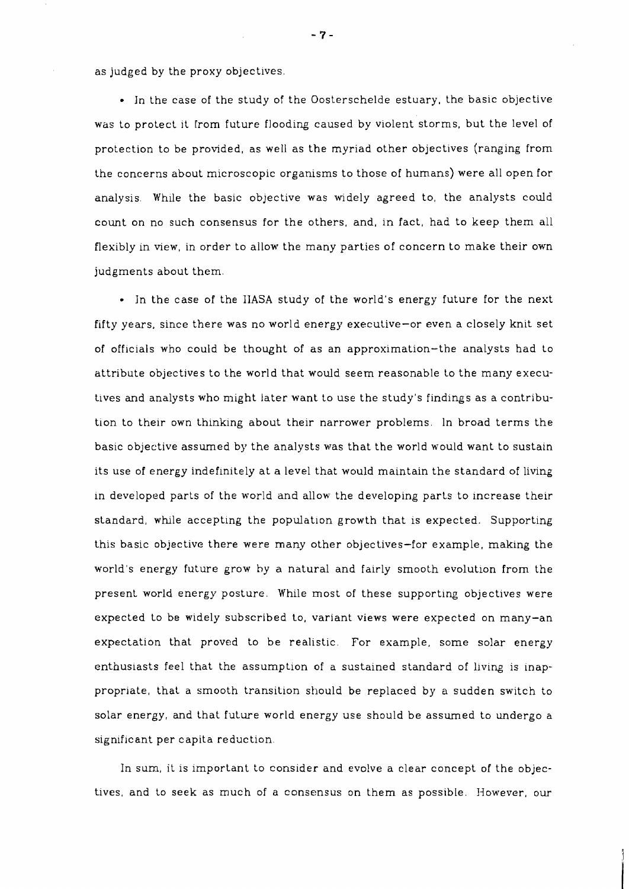as judged by the proxy objectives

• In the case of the study of the Oosterschelde estuary, the basic objective was to protect it from future flooding caused by violent storms, but the level of protection to be provided, as well as the myriad other objectives (ranging from the concerns about microscopic organisms to those of humans) were all open for analysis. While the basic objective was widely agreed to, the analysts could count on no such consensus for the others, and, in fact, had to keep them all flexibly in view, in order to allow the many parties of concern to make their own judgments about them.

• In the case of the IIASA study of the world's energy future for the next fifty years, since there was no world energy executive-or even a closely knit set of officials who could be thought of as an approximation-the analysts had to attribute objectives to the world that would seem reasonable to the many executives and analysts who might later want to use the study's findings as a contribution to their own thinking about their narrower problems. In broad terms the basic objective assumed by the analysts was that the world would want to sustain its use of energy indefinitely at a level that would maintain the standard of living in developed parts of the world and allow the developing parts to increase their standard, whle accepting the population growth that is expected. Supporting this basic objective there were many other objectives-for example, making the world's energy future grow by a natural and fairly smooth evolution from the present world energy posture. While most of these supporting objectives were expected to be widely subscribed to, variant views were expected on many-an expectation that proved to be realistic. For example, some solar energy enthusiasts feel that the assumption of a sustained standard of living is inappropriate, that a smooth transition should be replaced by a sudden switch to solar energy, and that future world energy use should be assumed to undergo a significant per capita reduction.

In sum, it is important to consider and evolve a clear concept of the objectives, and to seek as much of a consensus on them as possible. However, our

 $-7-$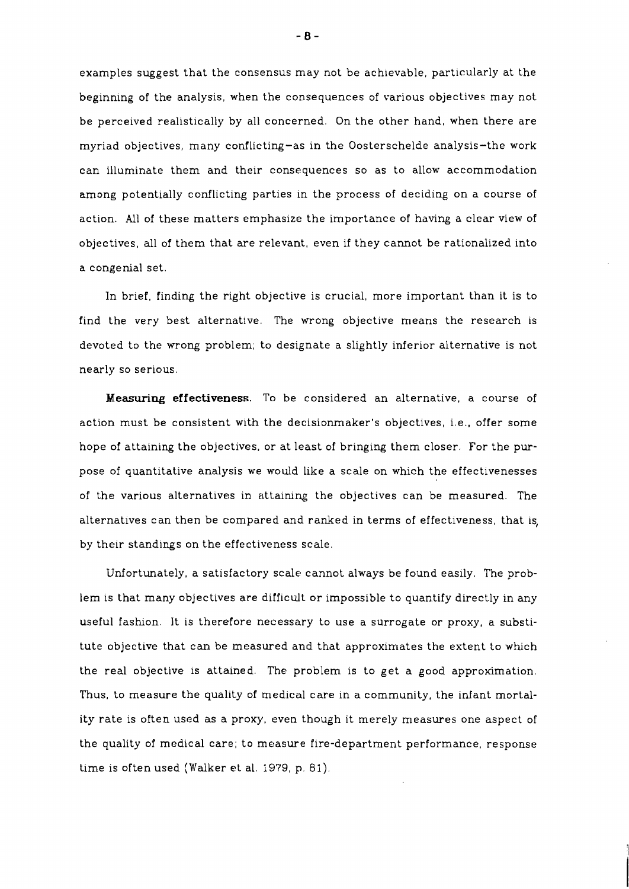examples suggest that the consensus may not be achievable, particularly at the beginning of the analysis, when the consequences of various objectives may not be perceived realistically by all concerned. On the other hand, when there are myriad objectives, many conflicting-as in the Oosterschelde analysis-the work can illuminate them and their consequences so as to allow accommodation among potentially conflicting parties in the process of deciding on a course of action. All of these matters emphasize the importance of having a clear view of objectives, all of them that are relevant, even if they cannot be rationalized into a congenial set.

In brief, finding the right objective is crucial, more important than it is to find the very best alternative. The wrong objective means the research is devoted to the wrong problem; to designate a slightly inferior alternative is not nearly so serious.

**Measuring effectiveness.** To be considered an alternative, a course of action must be consistent with the decisionmaker's objectives, i.e., offer some hope of attaining the objectives, or at least of bringing them closer. For the **pur**pose of quantitative analysis we would like a scale on which the effectivenesses of the various alternatives in attaining the objectives can be measured. The alternatives can then be compared and ranked in terms of effectiveness, that is, by their standings on the effectiveness scale.

Unfortunately, a satisfactory scale cannot always be found easily. The problem is that many objectives are difficult or impossible to quantify directly in any useful fashion. It is therefore necessary to use a surrogate or proxy, a substitute objective that can be measured and that approximates the extent to whch the real objective is attained. The problem is to get a good approximation. Thus, to measure the quality of medical care in a community, the infant mortality rate is often used as a proxy, even though it merely measures one aspect of the quality of medical care; to measure fire-department performance, response time is often used (Walker et al. 1979, **p.** 81).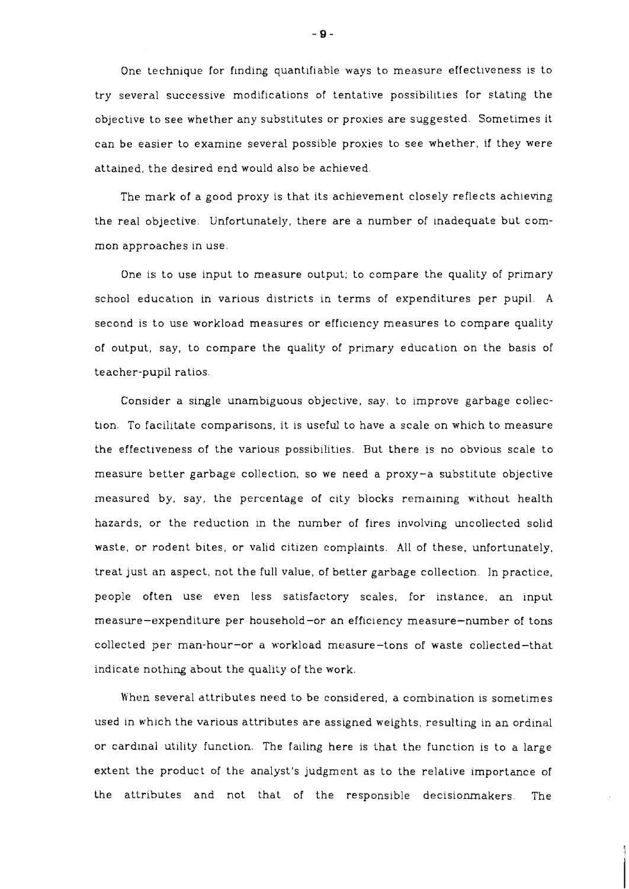One technique for flnding quantifiable ways to measure effectiveness is to try several successive modifications of tentative possibilities for stating the objective to see whether any substitutes or proxies are suggested. Sometimes it can be easier to examine several possible proxies to see whether, if they were attained, the desired end would also be achieved.

The mark of a good proxy is that its achevement closely reflects achieving the real objective. Unfortunately, there are a number of inadequate but common approaches in use.

One is to use input to measure output; to compare the quality of primary school education in various districts in terms of expenditures per pupil. **<sup>A</sup>** second is to use workload measures or efficiency measures to compare quality of output, say, to compare the quality of primary education on the basis of teacher-pupil ratios.

Consider a single unambiguous objective, say, to improve garbage collection. To facilitate comparisons, it is useful to have a scale on which to measure the effectiveness of the various possibilities. But there is no obvious scale to measure better garbage collection, so we need a proxy-a substitute objective measured by, say, the percentage of city blocks remaining without health hazards, or the reduction in the number of fires involving uncollected solid waste, or rodent bites, or valid citizen complaints. All of these, unfortunately, treat just an aspect, not the full value, of better garbage collection. In practice, people often use even less satisfactory scales, for instance, an input measure-expenditure per household-or an efficiency measure-number of tons collected per man-hour-or a workload measure-tons of waste collected-that indicate nothing about the quality of the work.

When several attributes need to be considered, a combination is sometimes used in which the various attributes are assigned weights, resulting in an ordinal or cardinal utility function. The failing here is that the function is to a large extent the product of the analyst's judgment as to the relative importance of the attributes and not that of the responsible decisionmakers. The

 $-9-$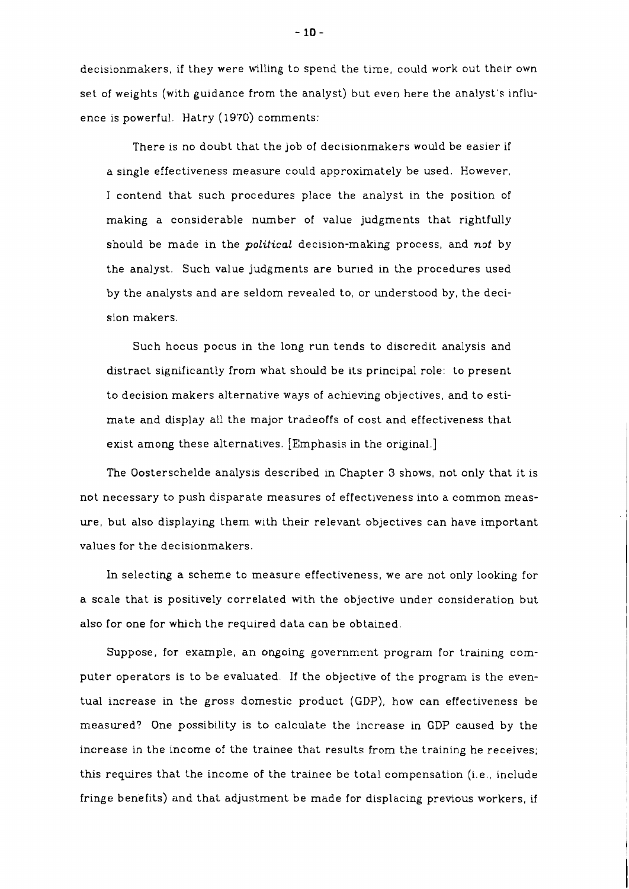decisionmakers, if they were willing to spend the time, could work out their own set of weights (with guidance from the analyst) but even here the analyst's influence is powerful. Hatry ( 1970) comments:

There is no doubt that the job of decisionmakers would be easier if a single effectiveness measure could approximately be used. However, I contend that such procedures place the analyst in the position of making a considerable number of value judgments that rightfully should be made in the **political** decision-makirg process, and **not** by the analyst. Such value judgments are buried in the procedures used by the analysts and are seldom revealed to, or understood by, the decision makers.

Such hocus pocus in the long run tends to discredit analysis and distract significantly from what should be its principal role: to present to decision makers alternative ways of acheving objectives, and to estimate and display all the major tradeoffs of cost and effectiveness that exist among these alternatives. [Emphasis in the original.]

The Oosterschelde analysis described in Chapter **3** shows, not only that it is not necessary to push disparate measures of effectiveness into a common measure, but also displaying them with their relevant objectives can have important values for the decisionmakers.

In selecting a scheme to measure effectiveness, we are not only looking for a scale that is positively correlated with the objective under consideration but also for one for which the required data can be obtained.

Suppose, for example, an ongoing government program for training computer operators is to be evaluated. If the objective of the program is the eventual increase in the gross domestic product (GDP), how can effectiveness be measured? One possibility is to calculate the increase in GDP caused by the increase in the income of the trainee that results from the training he receives; this requires that the income of the trainee be total compensation (i.e., include fringe benefits) and that adjustment be made for displacing previous workers, if

 $-10-$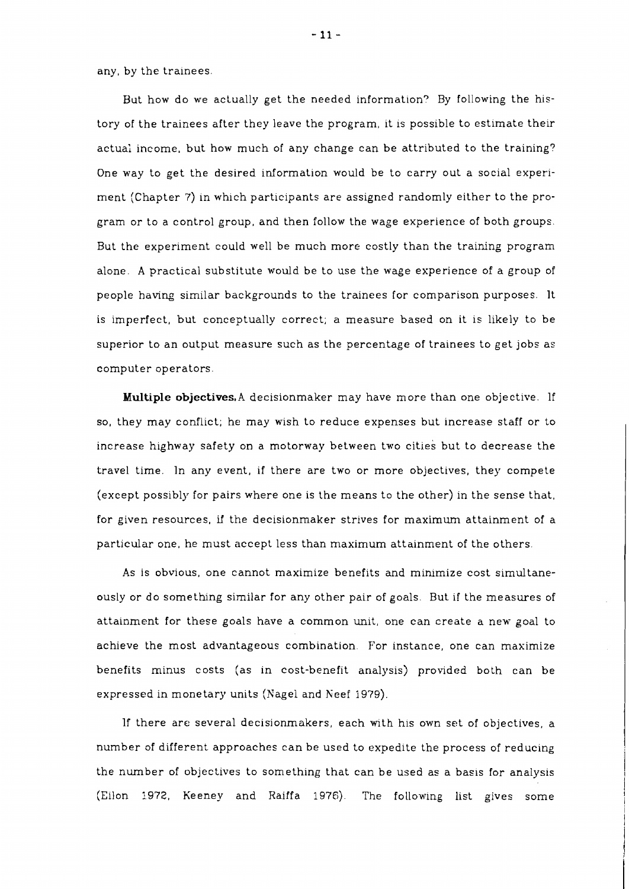any, by the trainees.

But how do we actually get the needed information? By following the history of the trainees after they leave the program, it is possible to estimate their actual income, but how much of any change can be attributed to the training? One way to get the desired information would be to carry out a social experiment (Chapter 7) in which participants are assigned randomly either to the program or to a control group, and then follow the wage experience of both groups. But the experiment could well be much more costly than the training program alone. A practical substitute would be to use the wage experience of a group of people having similar backgrounds to the trainees for comparison purposes. It is imperfect, but conceptually correct; a measure based on it is likely to be superior to an output measure such as the percentage of trainees to get jobs as computer operators.

**Multiple objectives,A** decisionmaker may have more than one objective. If so, they may conflict; he may wish to reduce expenses but increase staff or to increase highway safety on a motorway between two cities but to decrease the travel time. In any event, if there are two or more objectives, they compete (except possibly for pairs where one is the means to the other) in the sense that, for given resources, if the decisionmaker strives for maximum attainment of a particular one, he must accept less than maximum attainment of the others.

As is obvious, one cannot maximize benefits and mimmize cost simultaneously or do somethng similar for any other pair of goals. But if the measures of attainment for these goals have a common unit, one can create a new goal to achieve the most advantageous combination. For instance, one can maximize benefits minus costs (as in cost-benefit analysis) provided both can be expressed in monetary units (Nagel and Keef i979).

If there are several decisionrnakers, each with his own set of objectives, a number of different approaches can be used to expedite the process of reducing the number of objectives to something that can be used as a basis for analysis (Eilon 3.972, Keeney and Raiffa 1976). The following list gives some

 $-11-$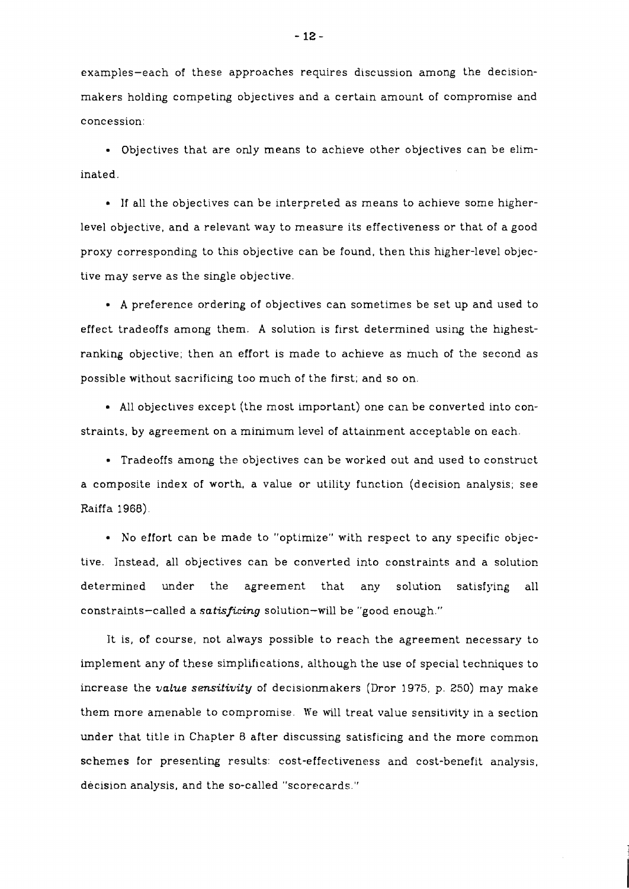examples-each of these approaches requires discussion among the decisionmakers holding competing objectives and a certain amount of compromise and concession:

Objectives that are only means to achieve other objectives can be eliminated.

If all the objectives can be interpreted as means to achieve some higherlevel objective, and a relevant way to measure its effectiveness or that of a good proxy corresponding to this objective can be found, then this higher-level objective may serve as the single objective.

**A** preference ordering of objectives can sometimes be set up and used to effect tradeoffs among them. **A** solution is first determined using the highestranking objective; then an effort is made to acheve as much of the second as possible without sacrificing too much of the first; and so on.

All objectives except (the most important) one can be converted into constraints, by agreement on a minimum level of attainment acceptable on each.

Tradeoffs among the objectives can be worked out and used to construct a composite index of worth, a value or utility function (decision analysis; see Raiffa 1968).

No effort can be made to "optimize" with respect to any specific objective. Instead, all objectives can be converted into constraints and a solution determined under the agreement that any solution satisfying all constraints-called a *satisficing* solution-will be "good enough."

It is, of course, not always possible to reach the agreement necessary to implement any of these simplifications, although the use of special techniques to increase the *value sensitivity* of decisionmakers (Dror 1975, p. 250) may make them more amenable to compromise. We will treat value sensitivity in a section under that title in Chapter 8 after discussing satisficing and the more common schemes for presenting results: cost-effectiveness and cost-benefit analysis, decision analysis, and the so-called "scorecards."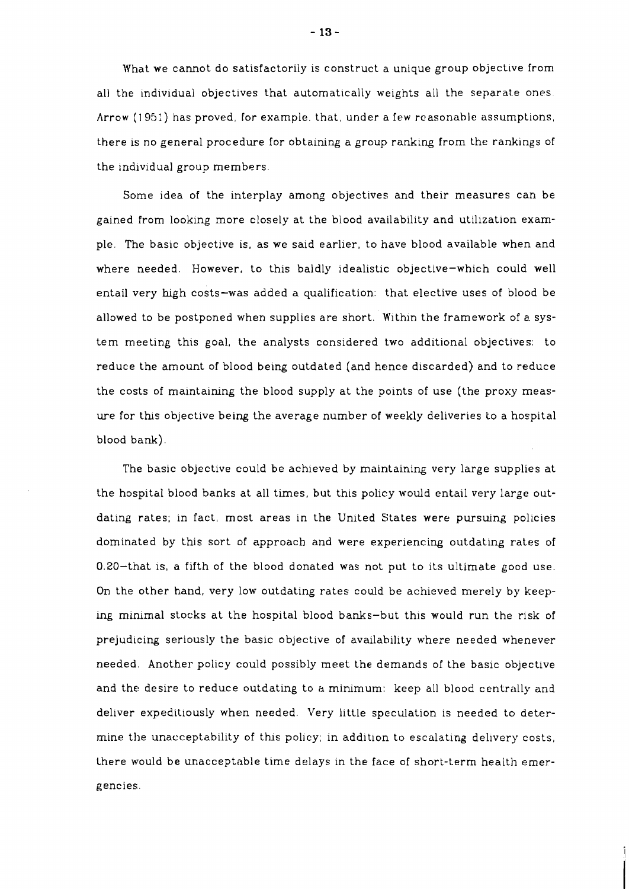What we cannot do satisfactorily is construct a unique group objective from all the individual objectives that automatically weights all the separate ones. Arrow (1951) has proved, for example. that, under a few reasonable assumptions, there is no general procedure for obtaining a group ranking from the rankings of the individual group members.

Some idea of the interplay among objectives and their measures can be gained from looking more closely at the blood availability and utilization example. The basic objective is, as we said earlier, to have blood available when and where needed. However, to this baldly idealistic objective-which could well entail very high costs-was added a qualification: that elective uses of blood be allowed to be postponed when supplies are short. Within the framework of a system meeting this goal, the analysts considered two additional objectives: to reduce the amount of blood being outdated (and hence discarded) and to reduce the costs of maintaining the blood supply at the points of use (the proxy measure for ths objective being the average number of weekly deliveries to a hospital blood bank).

The basic objective could be achieved by maintaining very large supplies at the hospital blood banks at all times, but this policy would entail very large outdating rates; in fact, most areas in the United States were pursuing policies dominated by this sort of approach and were experiencing outdating rates of 0.20-that is, a fifth of the blood donated was not put to its ultimate good use. On the other hand, very low outdating rates could be achieved merely by keeping minimal stocks at the hospital blood banks-but this would run the risk of prejudicing seriously the basic objective of availability where needed whenever needed. Another policy could possibly meet the demands of the basic objective and the desire to reduce outdating to a minimum: keep all blood centrally and deliver expeditiously when needed. Very little speculation is needed to determine the unacceptability of this policy; in addition to escalating delivery costs, there would be unacceptable time delays in the face of short-term health emergencies.

 $-13-$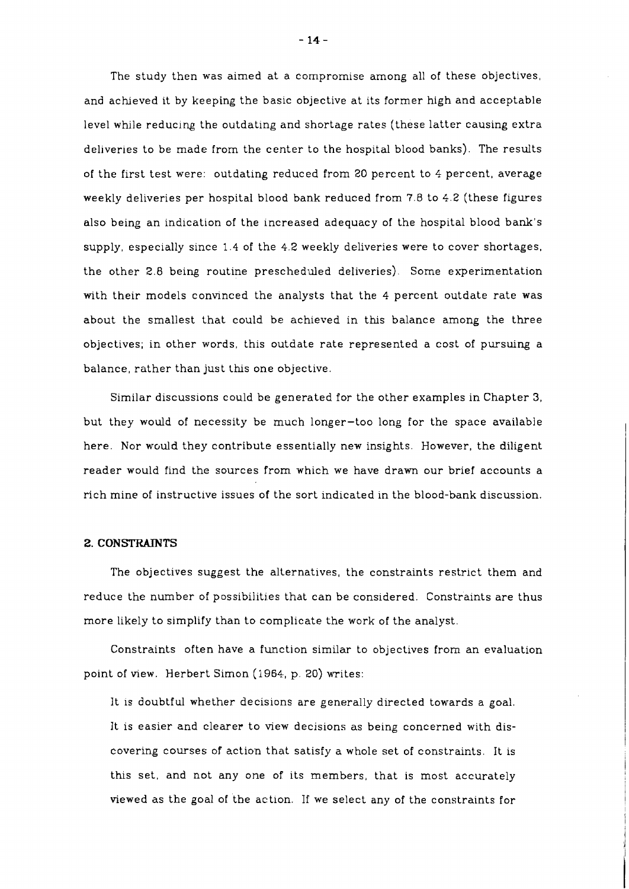The study then was aimed at a compromise among all of these objectives, and acheved it by keeping the basic objective at its former high and acceptable level while reducing the outdating and shortage rates (these latter causing extra deliveries to be made from the center to the hospital blood banks). The results of the first test were: outdating reduced from 20 percent to 4 percent, average weekly deliveries per hospital blood bank reduced from 7.8 to 4.2 (these figures also being an indication of the increased adequacy of the hospital blood bank's supply, especially since 1.4 of the 4.2 weekly deliveries were to cover shortages, the other 2.8 being routine prescheduled deliveries). Some experimentation with their models convinced the analysts that the **4** percent outdate rate was about the smallest that could be achieved in this balance among the three objectives; in other words, this outdate rate represented a cost of pursuing a balance, rather than just this one objective.

Similar discussions could be generated for the other examples in Chapter **3,**  but they would of necessity be much longer-too long for the space available here. Nor would they contribute essentially new insights. However, the diligent reader would find the sources from which we have drawn our brief accounts a rich mine of instructive issues of the sort indicated in the blood-bank discussion.

## 2. CONSTRAINTS

The objectives suggest the alternatives, the constraints restrict them and reduce the number of possibilities that can be considered. Constraints are thus more likely to simplify than to complicate the work of the analyst.

Constraints often have a function similar to objectives from an evaluation point of view. Herbert Simon (1964,, p. 20) writes:

It 1s doubtful whether decisions are generally directed towards a goal. It is easier and clearer to view decisions as being concerned with discovering courses of action that satisfy a whole set of constraints. It is this set, and not any one of its members, that is most accurately viewed as the goal of the action. If we select any of the constraints for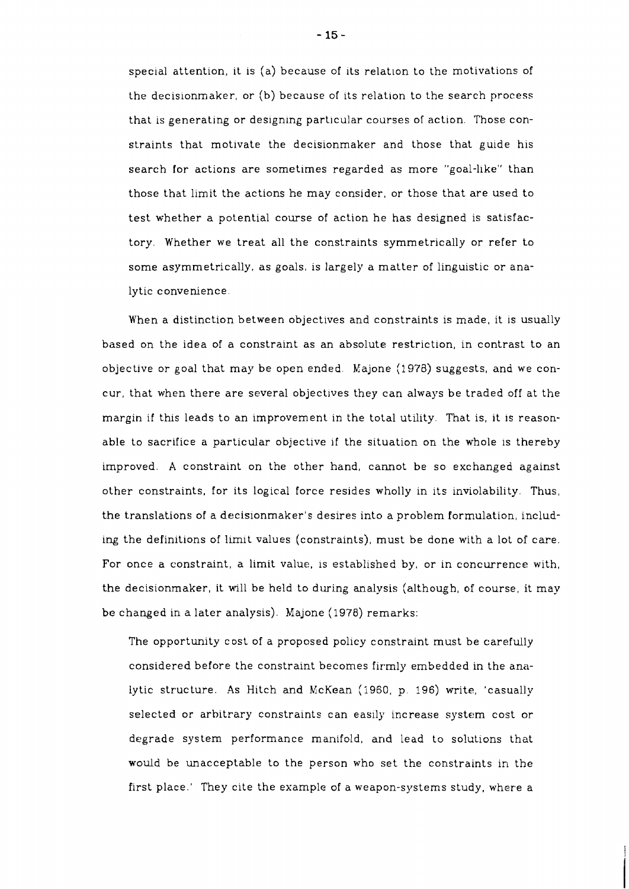special attention, it is (a) because of its relation to the motivations of the decisionmaker, or (b) because of its relation to the search process that is generating or designing particular courses of action. Those constraints that motivate the decisionmaker and those that guide his search for actions are sometimes regarded as more "goal-llke" than those that limit the actions he may consider, or those that are used to test whether a potential course of action he has designed is satisfactory. Whether we treat all the constraints symmetrically or refer to some asymmetrically, as goals, is largely a matter of linguistic or analytic convenience.

When a distinction between objectives and constraints is made, it is usually based on the idea of a constraint as an absolute restriction, in contrast to an objective or goal that may be open ended. Majone (1978) suggests, and we concur, that when there are several objectives they can always be traded off at the margin if this leads to an improvement in the total utility. That is, it 1s reasonable to sacrifice a particular objective if the situation on the whole is thereby improved. A constraint on the other hand, cannot be so exchanged against other constraints, for its logical force resides wholly in its inviolability. Thus, the translations of a decislonmaker's desires into a problem formulation, including the definitions of limit values (constraints), must be done with a lot of care. For once a constraint, a limit value, is established by, or in concurrence with, the decisionmaker, it will be held to during analysis (although, of course, it may be changed in a later analysis). Majone (1978) remarks:

The opportunity cost of a proposed policy constraint must be carefully considered before the constraint becomes firmly embedded in the analytic structure. As Hitch and McKean (1960, p. 196) write, 'casually selected or arbitrary constraints can easily increase system cost or degrade system performance manifold, and lead to solutions that would be unacceptable to the person who set the constraints in the first place.' They cite the example of a weapon-systems study, where a

- 15 -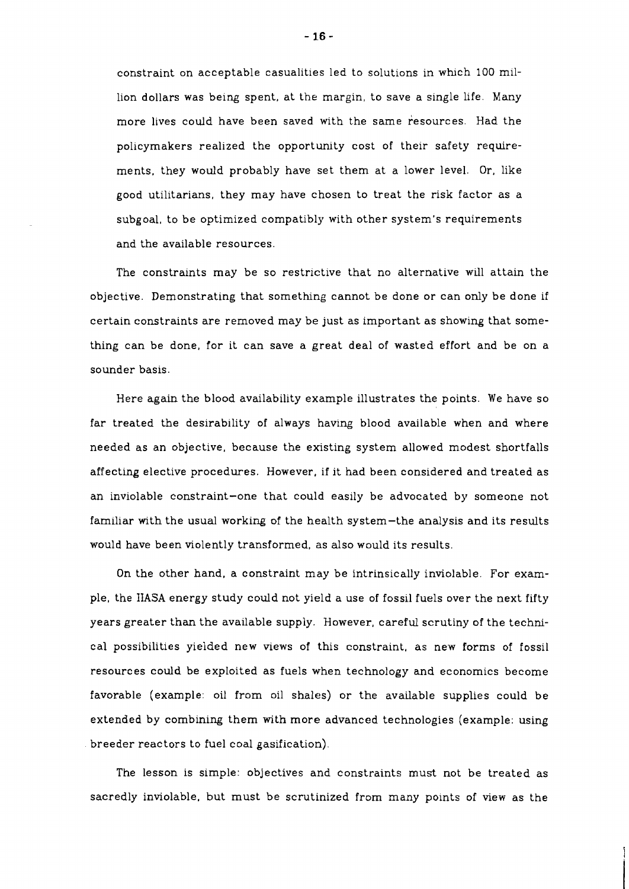constraint on acceptable casualities led to solutions in whch 100 million dollars was being spent, at the margin, to save a single life. Many more lives could have been saved with the same resources. Had the policymakers realized the opportunity cost of their safety requirements, they would probably have set them at a lower level. Or, like good utilitarians, they may have chosen to treat the risk factor as a subgoal, to be optimized compatibly with other system's requirements and the available resources.

The constraints may be so restrictive that no alternative will attain the objective. Demonstrating that somethng cannot be done or can only be done if certain constraints are removed may be just as important as showing that something can be done, for it can save a great deal of wasted effort and be on a sounder basis.

Here again the blood availability example illustrates the points. We have so far treated the desirability of always having blood available when and where needed as an objective, because the existing system allowed modest shortfalls affecting elective procedures. However, if it had been considered and treated as an inviolable constraint-one that could easily be advocated by someone not familiar with the usual working of the health system-the analysis and its results would have been violently transformed, as also would its results.

On the other hand, a constraint may be intrinsically inviolable. For example, the **IIASA** energy study could not yield a use of fossil fuels over the next fifty years greater than the available supply. However, careful scrutiny of the technical possibilities yielded new views of this constraint, as new forms of fossil resources could be exploited as fuels when technology and economics become favorable (example: oil from oil shales) or the available supplies could be extended by combining them with more advanced technologies (example: using breeder reactors to fuel coal gasification).

The lesson is simple: objectives and constraints must not be treated as sacredly inviolable, but must be scrutinized from many points of view as the

 $-16-$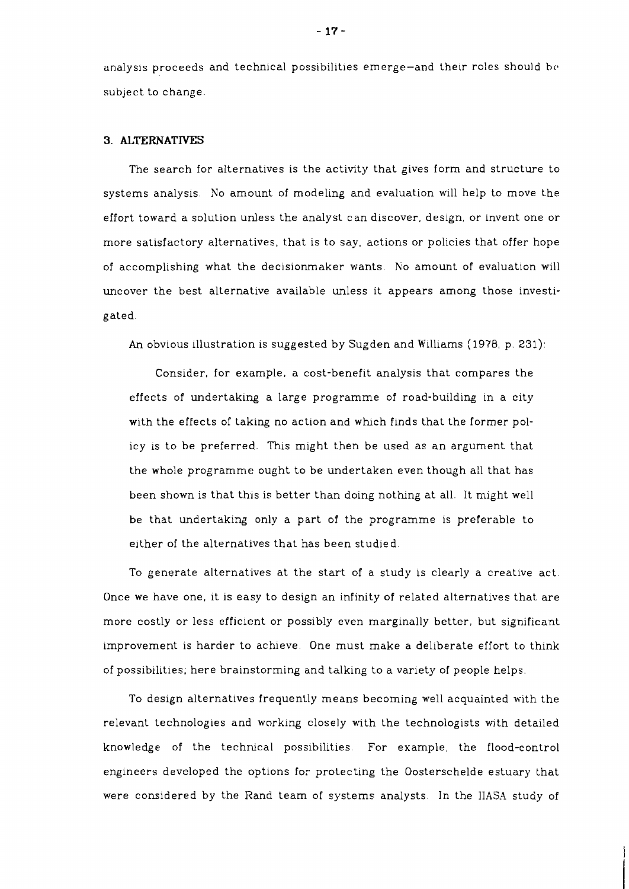analysis proceeds and technical possibilities emerge-and their roles should be subject to change.

## **3. ALTERNATIVES**

The search for alternatives is the activity that gives form and structure to systems analysis. No amount of modeling and evaluation will help to move the effort toward a solution unless the analyst can discover, design, or invent one or more satisfactory alternatives, that is to say, actions or policies that offer hope of accomplishing what the decisionmaker wants. No amount of evaluation will uncover the best alternative available unless it appears among those investigated.

An obvious illustration is suggested by Sugden and Williams (1978, p. 231):

Consider, for example, a cost-benefit analysis that compares the effects of undertaking a large programme of road-building in a city with the effects of taking no action and which finds that the former policy ls to be preferred. This might then be used as an argument that the whole programme ought to be undertaken even though all that has been shown is that this is better than doing nothng at all. It might well be that undertaking only a part of the programme is preferable to either of the alternatives that has been studied.

To generate alternatives at the start of a study is clearly a creative act. Once we have one, it is easy to design an infinity of related alternatives that are more costly or less efficient or possibly even marginally better, but significant improvement is harder to achieve. One must make a deliberate effort to think of possibilities; here brainstorming and talking to a variety of people helps.

To design alternatives frequently means becoming well acquainted with the relevant technologies and working closely with the technologists with detailed knowledge of the technical possibilities. For example, the flood-control engineers developed the options for protecting the Oosterschelde estuary that were considered by the Rand team of systems analysts. In the IIASA study of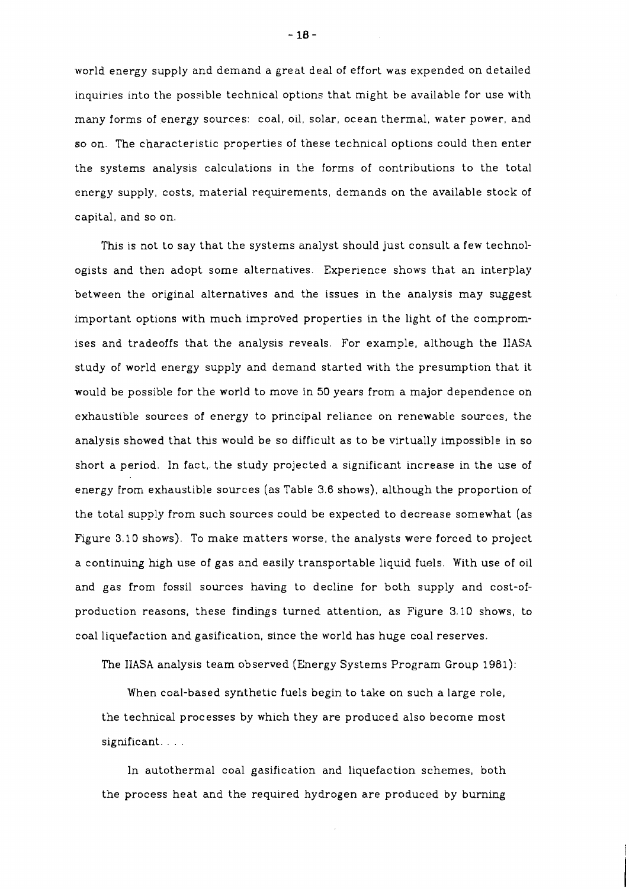world energy supply and demand a great deal of effort was expended on detailed inquiries into the possible technical options that might be available for use with many forms of energy sources: coal, oil, solar, ocean thermal, water power, and so on. The characteristic properties of these technical options could then enter the systems analysis calculations in the forms of contributions to the total energy supply, costs, material requirements, demands on the available stock of capital, and so on.

This is not to say that the systems analyst should just consult a few technologists and then adopt some alternatives. Experience shows that an interplay between the original alternatives and the issues in the analysis may suggest important options with much improved properties in the light of the compromises and tradeoffs that the analysis reveals. For example, although the IIASA study of world energy supply and demand started with the presumption that it would be possible for the world to move in 50 years from a major dependence on exhaustible sources of energy to principal reliance on renewable sources, the analysis showed that this would be so difficult as to be virtually impossible in so short a period. In fact, the study projected a significant increase in the use of energy from exhaustible sources (as Table 3.6 shows), although the proportion of the total supply from such sources could be expected to decrease somewhat (as Figure 3.10 shows). To make matters worse, the analysts were forced to project a continuing high use of gas and easily transportable liquid fuels. With use of oil and gas from fossil sources having to decline for both supply and cost-ofproduction reasons, these findings turned attention, as Figure 3.10 shows, to coal liquefaction and gasification, since the world has huge coal reserves.

The lIASA analysis team observed (Energy Systems Program Group 1981):

When coal-based synthetic fuels begin to take on such a large role, the technical processes by which they are produced also become most significant....

In autothermal coal gasification and liquefaction schemes, both the process heat and the required hydrogen are produced by burning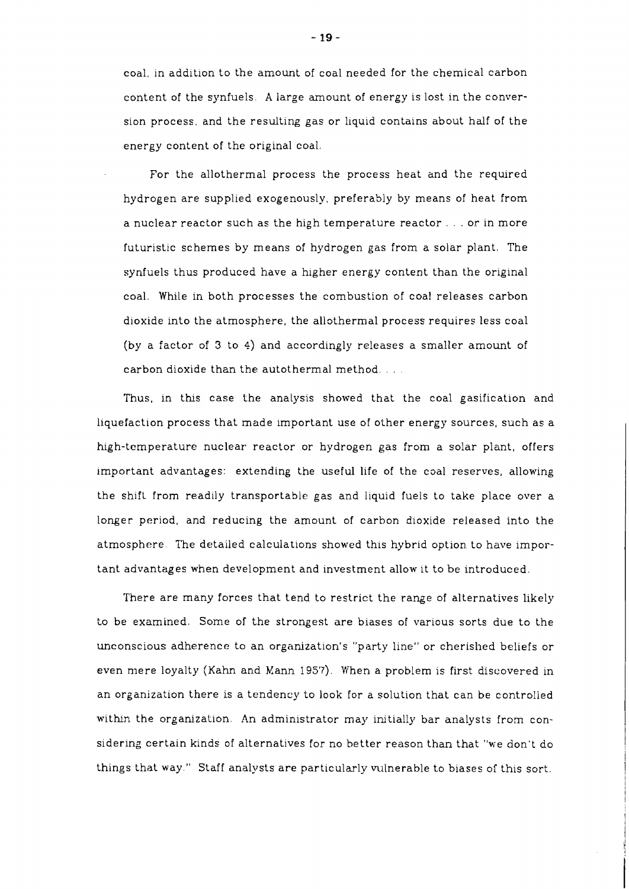coal, in addition to the amount of coal needed for the chemical carbon content of the synfuels. A large amount of energy is lost in the conversion process, and the resulting gas or liquid contains about half of the energy content of the original coal.

For the allothermal process the process heat and the required hydrogen are supplied exogenously, preferably by means of heat from a nuclear reactor such as the high temperature reactor . . . or in more futuristic schemes by means of hydrogen gas from a solar plant. The synfuels thus produced have a higher energy content than the original coal. While in both processes the combustion of coal releases carbon dioxide into the atmosphere, the allothermal process requires less coal (by a factor of **3** to 4) and accordingly releases a smaller amount of carbon dioxide than the autothermal method. . . .

Thus, in this case the analysis showed that the coal gasification and liquefaction process that made important use of other energy sources, such as a high-temperature nuclear reactor or hydrogen gas from a solar plant, offers important advantages: extending the useful life of the coal reserves, allowing the shift from readily transportable gas and liquid fuels to take place over a longer period, and reducing the amount of carbon dioxide released into the atmosphere. The detailed calculations showed this hybrid option to have important advantages when development and investment allow lt to be introduced.

There are many forces that tend to restrict the range of alternatives likely to be examined. Some of the strongest are biases of various sorts due to the unconscious adherence to an organization's "party line" or cherished beliefs or even mere loyalty (Kahn and Kann 195'7). When a problem is first discovered in an organization there is a tendency to look for a solution that can be controlled within the organization. An administrator may initially bar analysts from considering certain kinds of alternatives for no better reason than that "we don't do things that way." Staff analysts are particularly vulnerable to biases of this sort.

- 19 -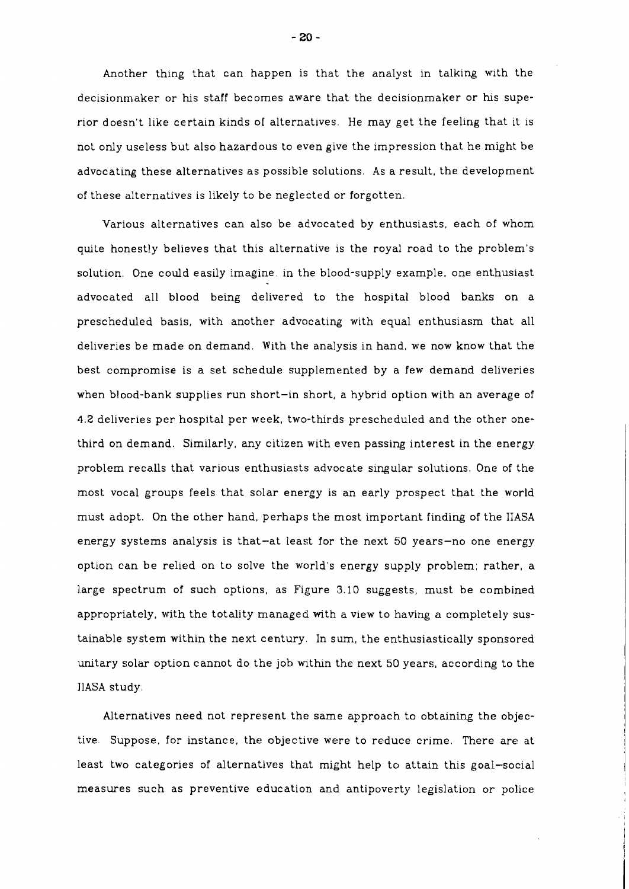Another thing that can happen is that the analyst in talking with the decisionmaker or his staff becomes aware that the decisionmaker or his superior doesn't like certain kinds of alternatlves. He may get the feeling that it is not only useless but also hazardous to even give the impression that he might be advocating these alternatives as possible solutions. As a result, the development of these alternatives is likely to be neglected or forgotten.

Various alternatives can also be advocated by enthusiasts, each of whom quite honestly believes that this alternative is the royal road to the problem's solution. One could easily imagine, in the blood-supply example, one enthusiast advocated all blood being delivered to the hospital blood banks on a prescheduled basis, with another advocating with equal enthusiasm that all deliveries be made on demand. With the analysis in hand, we now know that the best compromise is a set schedule supplemented by a few demand deliveries when blood-bank supplies run short-in short, a hybrid option with an average of 4.2 deliveries per hospital per week, two-thrds prescheduled and the other onethird on demand. Similarly, any citizen with even passing interest in the energy problem recalls that various enthusiasts advocate singular solutions. One of the most vocal groups feels that solar energy is an early prospect that the world must adopt. On the other hand, perhaps the most important finding of the IIASA energy systems analysis is that-at least for the next 50 years-no one energy option can be relied on to solve the world's energy supply problem; rather, a large spectrum of such options, as Figure 3.10 suggests, must be combined appropriately, with the totality managed with a view to having a completely sustainable system within the next century. In sum, the enthusiastically sponsored unitary solar option cannot do the job within the next 50 years, according to the JlASA study.

Alternatives need not represent the same approach to obtaining the objective. Suppose, for instance, the objective were to reduce crime. There are at least two categories of alternatives that might help to attain this goal-social measures such as preventive education and antipoverty legislation or- police

 $-20-$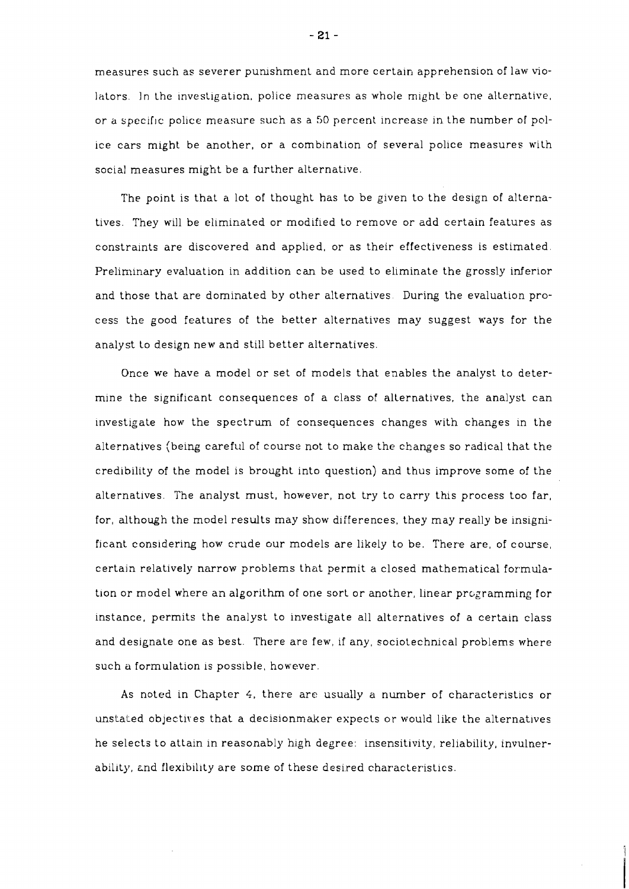measures such as severer pumshment and more certaln apprehension of law nolators. In the investigation, police measures as whole might be one alternative, or a specific police measure such as a 50 percent increase in the number of police cars might be another, or a combination of several police measures with social measures might be a further alternative.

The point is that a lot of thought has to be given to the design of alternatives. They will be eliminated or modified to remove or add certain features as constraints are discovered and applied, or as their effectiveness is estimated. Preliminary evaluation in addition can be used to eliminate the grossly inferior and those that are dominated by other alternatives. During the evaluation process the good features of the better alternatives may suggest ways for the analyst to design new and still better alternatives.

Once we have a model or set of models that enables the analyst to determine the significant consequences of a class of alternatives, the analyst can investigate how the spectrum of consequences changes with changes in the alternatives (belng careful of course not to make the changes so radical that the credibility of the model is brought into question) and thus improve some of the alternatives. The analyst must, however, not try to carry this process too far, for, although the model results may show differences, they may really be insignificant considering how crude our models are likely to be. There are, of course, certain relatively narrow problems that permlt a closed mathematical formulation or model where an algorithm of one sort or another, linear programming for instance, permits the analyst to investigate all alternatives of a certain class and designate one as best. There are few, if any, sociotechnical problems where such a formulation is possible, however

As noted in Chapter 4, there are usually a number of characteristics or unstated objectires that a decisionmaker expects or would like the alternatives he selects to attain in reasonably high degree: insensitivity, reliability, invulnerability, and flexibility are some of these desired characteristics.

- 21 -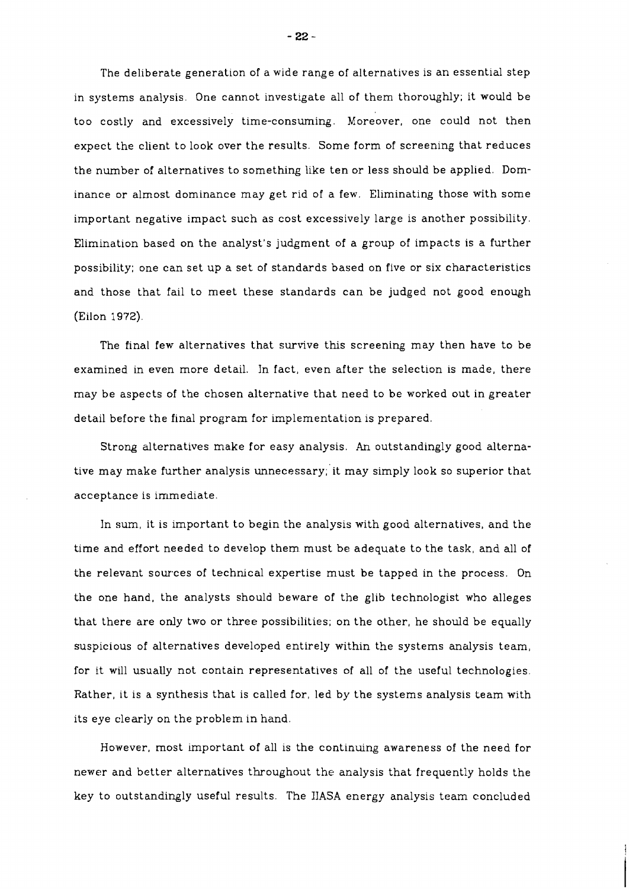The deliberate generation of a wide range of alternatives is an essential step in systems analysis. One cannot investigate all of them thoroughly; it would be too costly and excessively time-consuming. Moreover, one could not then expect the client to look over the results. Some form of screening that reduces the number of alternatives to something like ten or less should be applied. Dominance or almost dominance may get rid of a few. Eliminating those with some important negative impact such as cost excessively large is another possibility. Elimination based on the analyst's judgment of a group of impacts is a further possibility; one can set up a set of standards based on five or six characteristics and those that fail to meet these standards can be judged not good enough (Eilon 1972).

The final few alternatives that survive this screening may then have to be examined in even more detail. In fact, even after the selection is made, there may be aspects of the chosen alternative that need to be worked out in greater detail before the final program for implementation is prepared.

Strong alternatives make for easy analysis. **An** outstandingly good alternative may make further analysis unnecessary; it may simply look so superior that acceptance is immediate.

In sum, it is important to begin the analysis with good alternatives, and the time and effort needed to develop them. must be adequate to the task, and all of the relevant sources of technical expertise must be tapped in the process. On the one hand, the analysts should beware of the glib technologist who alleges that there are only two or three possibilities; on the other, he should be equally suspicious of alternatives developed entirely within the systems analysis team, for it will usually not contain representatives of all of the useful technologies. Rather, it is a synthesis that is called for, led by the systems analysis team with its eye clearly on the problem in hand.

However, most important of all is the continuing awareness of the need for newer and better alternatives throughout the analysis that frequently holds the key to outstandingly useful results. The IJASA energy analysis team concluded

 $-22-$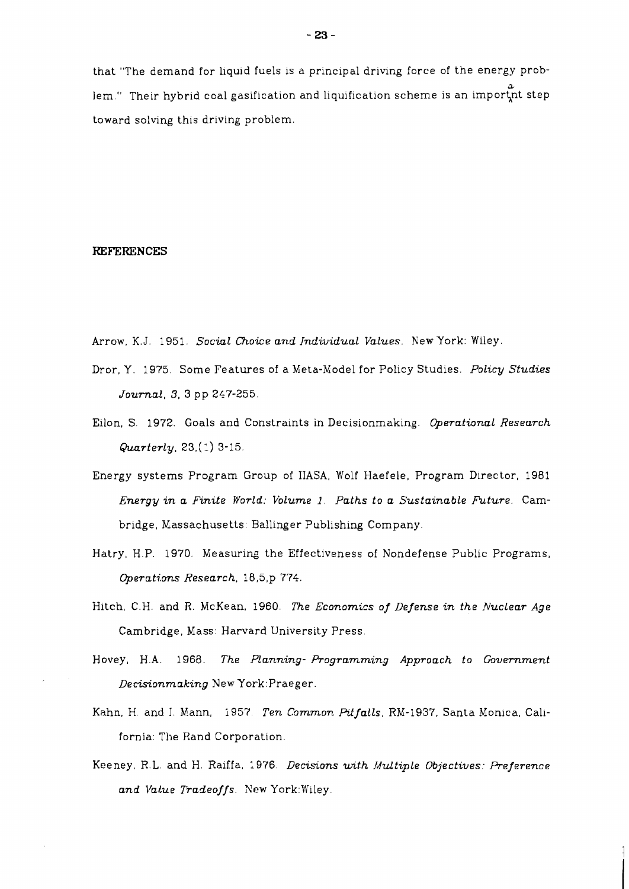that "The demand for liquid fuels is a principal driving force of the energy prob-  $\mathbf{r}_i$ lem." Their hybrid coal gasification and liquification scheme is an impor $\operatorname{\mathsf{tn}}$  step toward solving this driving problem.

#### **REFERENCES**

- Arrow, K.J. 1951. *Social Choice and /ndividual Values.* New York: Wiley.
- Dror, Y. 1975. Some Features of a Meta-Model for Policy Studies. *Policy Studies Journal,* **3, 3** pp 247-255.
- Eilon, S. 1972. Goals and Constraints in Decisionmaking. *Operational Research Quarterly,* 23,(1) 3-15.
- Energy systems Program Group of IIASA, Wolf Haefele, Program Director, 1981 *Energy in a Finite World: Volume 1. Paths to a Sustainable Future.* Cambridge, Xassachusetts: Ballinger Publishing Company.
- Hatry, H.P. 1970. Measuring the Effectiveness of Nondefense Public Programs, *@erati.ons Research,* 18,5,p 774.
- Hitch, C.H. and R. McKean, 1960. *The Economics of Defense in the Nuclear Age*  Cambridge, Mass: Harvard University Press.
- Hovey, H.A. 1968. *The Planning- Programming Approach to Government Decisionmaking* New York: Praeger.
- Kahn, H. and J. Mann, 1957. *Ten Common Pitfalls*, RM-1937, Santa Monica, California: The Rand Corporation.
- Keeney, R.L. and H. Raiffa, 1976. *Decisions with Multiple Objectives: Preference*  and Value Tradeoffs. New York: Wiley.